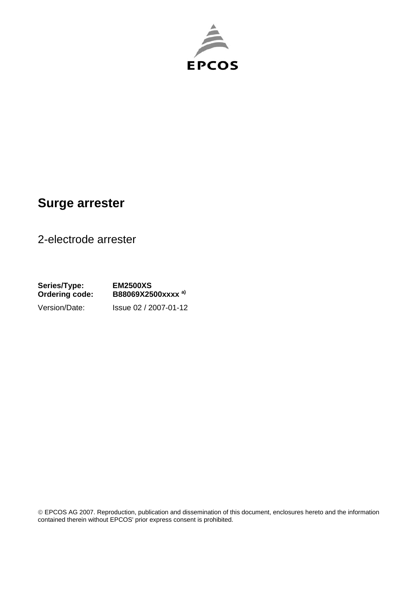

## **Surge arrester**

2-electrode arrester

**Series/Type: EM2500XS Ordering code: B88069X2500xxxx a)** Version/Date: Issue 02 / 2007-01-12

© EPCOS AG 2007. Reproduction, publication and dissemination of this document, enclosures hereto and the information contained therein without EPCOS' prior express consent is prohibited.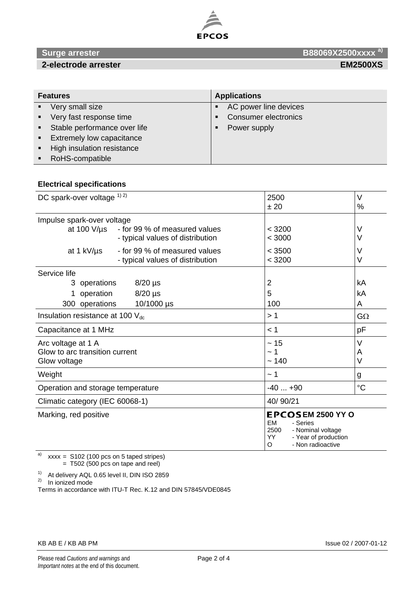

## **Surge arrester B88069X2500xxxx** <sup>a)</sup>

| <b>Features</b>  |                                  | <b>Applications</b> |                             |
|------------------|----------------------------------|---------------------|-----------------------------|
| $\blacksquare$   | Very small size                  | п                   | AC power line devices       |
| $\blacksquare$   | Very fast response time          | п                   | <b>Consumer electronics</b> |
|                  | • Stable performance over life   |                     | Power supply                |
|                  | <b>Extremely low capacitance</b> |                     |                             |
| $\blacksquare$ . | High insulation resistance       |                     |                             |
|                  | RoHS-compatible                  |                     |                             |

### **Electrical specifications**

| DC spark-over voltage 1) 2)                                          |                                                                                                    | 2500<br>±20                                                                                                                             | $\vee$<br>%     |
|----------------------------------------------------------------------|----------------------------------------------------------------------------------------------------|-----------------------------------------------------------------------------------------------------------------------------------------|-----------------|
| Impulse spark-over voltage<br>at 100 $V/\mu s$<br>at 1 kV/µs         | - for 99 % of measured values<br>- typical values of distribution<br>- for 99 % of measured values | < 3200<br>< 3000<br>$<$ 3500                                                                                                            | V<br>V<br>V     |
| Service life                                                         | - typical values of distribution                                                                   | < 3200                                                                                                                                  | V               |
| 3 operations<br>operation<br>300 operations                          | $8/20$ µs<br>$8/20$ µs<br>10/1000 µs                                                               | 2<br>5<br>100                                                                                                                           | kA<br>kA<br>A   |
| Insulation resistance at 100 $V_{dc}$                                |                                                                                                    | >1                                                                                                                                      | $G\Omega$       |
| Capacitance at 1 MHz                                                 |                                                                                                    | < 1                                                                                                                                     | pF              |
| Arc voltage at 1 A<br>Glow to arc transition current<br>Glow voltage |                                                                                                    | $\sim$ 15<br>~1<br>~140                                                                                                                 | V<br>A<br>V     |
| Weight                                                               |                                                                                                    | ~1                                                                                                                                      | g               |
| Operation and storage temperature                                    |                                                                                                    | $-40+90$                                                                                                                                | $\rm ^{\circ}C$ |
| Climatic category (IEC 60068-1)                                      |                                                                                                    | 40/90/21                                                                                                                                |                 |
| Marking, red positive                                                |                                                                                                    | <b>EPCOSEM 2500 YY O</b><br><b>EM</b><br>- Series<br>2500<br>- Nominal voltage<br>YY.<br>- Year of production<br>O<br>- Non radioactive |                 |

a)  $xxxx = $102 (100 pcs on 5 taped stripes)$ = T502 (500 pcs on tape and reel)

 $1)$  At delivery AQL 0.65 level II, DIN ISO 2859

 $2)$  In ionized mode

Terms in accordance with ITU-T Rec. K.12 and DIN 57845/VDE0845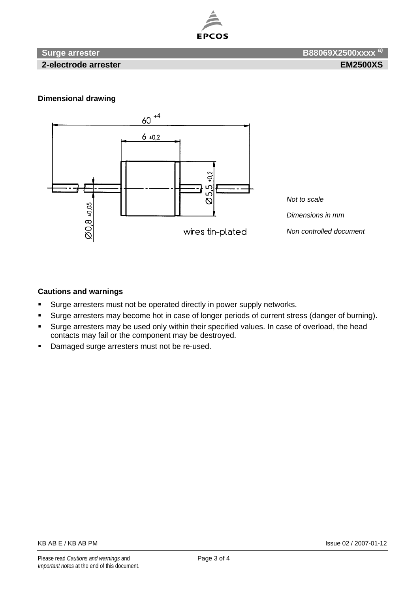

 **2-electrode arrester EM2500XS** 

 **Surge arrester B88069X2500xxxx a)** 

### **Dimensional drawing**



### **Cautions and warnings**

- Surge arresters must not be operated directly in power supply networks.
- **Surge arresters may become hot in case of longer periods of current stress (danger of burning).**
- **Surge arresters may be used only within their specified values. In case of overload, the head** contacts may fail or the component may be destroyed.
- Damaged surge arresters must not be re-used.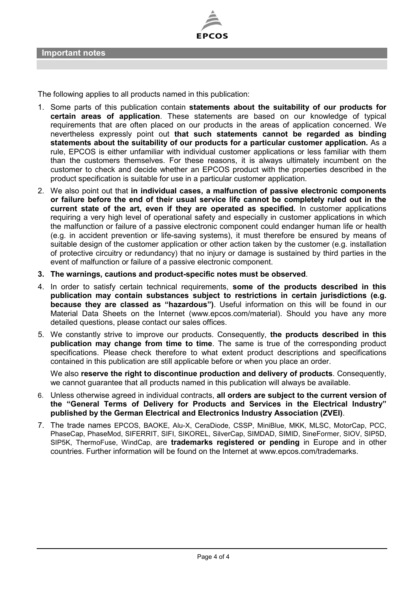

The following applies to all products named in this publication:

- 1. Some parts of this publication contain **statements about the suitability of our products for certain areas of application**. These statements are based on our knowledge of typical requirements that are often placed on our products in the areas of application concerned. We nevertheless expressly point out **that such statements cannot be regarded as binding statements about the suitability of our products for a particular customer application.** As a rule, EPCOS is either unfamiliar with individual customer applications or less familiar with them than the customers themselves. For these reasons, it is always ultimately incumbent on the customer to check and decide whether an EPCOS product with the properties described in the product specification is suitable for use in a particular customer application.
- 2. We also point out that **in individual cases, a malfunction of passive electronic components or failure before the end of their usual service life cannot be completely ruled out in the current state of the art, even if they are operated as specified.** In customer applications requiring a very high level of operational safety and especially in customer applications in which the malfunction or failure of a passive electronic component could endanger human life or health (e.g. in accident prevention or life-saving systems), it must therefore be ensured by means of suitable design of the customer application or other action taken by the customer (e.g. installation of protective circuitry or redundancy) that no injury or damage is sustained by third parties in the event of malfunction or failure of a passive electronic component.
- **3. The warnings, cautions and product-specific notes must be observed**.
- 4. In order to satisfy certain technical requirements, **some of the products described in this publication may contain substances subject to restrictions in certain jurisdictions (e.g. because they are classed as "hazardous")**. Useful information on this will be found in our Material Data Sheets on the Internet (www.epcos.com/material). Should you have any more detailed questions, please contact our sales offices.
- 5. We constantly strive to improve our products. Consequently, **the products described in this publication may change from time to time**. The same is true of the corresponding product specifications. Please check therefore to what extent product descriptions and specifications contained in this publication are still applicable before or when you place an order.

We also **reserve the right to discontinue production and delivery of products**. Consequently, we cannot guarantee that all products named in this publication will always be available.

- 6. Unless otherwise agreed in individual contracts, **all orders are subject to the current version of the "General Terms of Delivery for Products and Services in the Electrical Industry" published by the German Electrical and Electronics Industry Association (ZVEI)**.
- 7. The trade names EPCOS, BAOKE, Alu-X, CeraDiode, CSSP, MiniBlue, MKK, MLSC, MotorCap, PCC, PhaseCap, PhaseMod, SIFERRIT, SIFI, SIKOREL, SilverCap, SIMDAD, SIMID, SineFormer, SIOV, SIP5D, SIP5K, ThermoFuse, WindCap, are **trademarks registered or pending** in Europe and in other countries. Further information will be found on the Internet at www.epcos.com/trademarks.